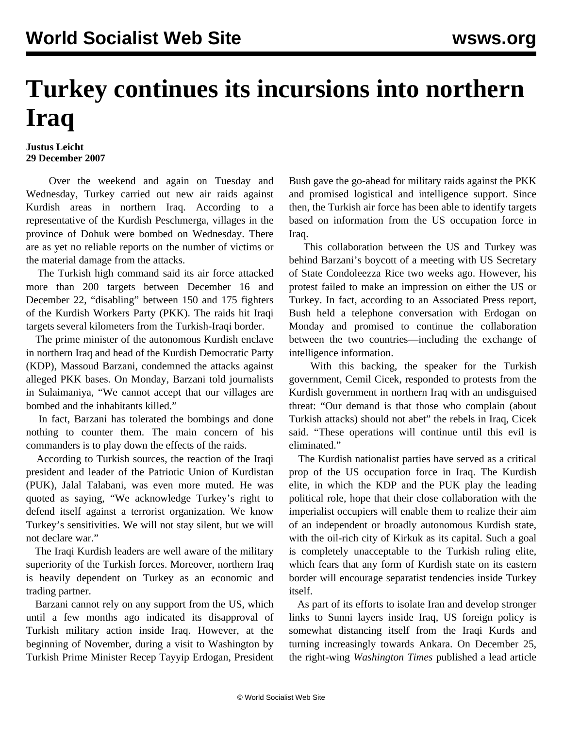## **Turkey continues its incursions into northern Iraq**

## **Justus Leicht 29 December 2007**

 Over the weekend and again on Tuesday and Wednesday, Turkey carried out new air raids against Kurdish areas in northern Iraq. According to a representative of the Kurdish Peschmerga, villages in the province of Dohuk were bombed on Wednesday. There are as yet no reliable reports on the number of victims or the material damage from the attacks.

 The Turkish high command said its air force attacked more than 200 targets between December 16 and December 22, "disabling" between 150 and 175 fighters of the Kurdish Workers Party (PKK). The raids hit Iraqi targets several kilometers from the Turkish-Iraqi border.

 The prime minister of the autonomous Kurdish enclave in northern Iraq and head of the Kurdish Democratic Party (KDP), Massoud Barzani, condemned the attacks against alleged PKK bases. On Monday, Barzani told journalists in Sulaimaniya, "We cannot accept that our villages are bombed and the inhabitants killed."

 In fact, Barzani has tolerated the bombings and done nothing to counter them. The main concern of his commanders is to play down the effects of the raids.

 According to Turkish sources, the reaction of the Iraqi president and leader of the Patriotic Union of Kurdistan (PUK), Jalal Talabani, was even more muted. He was quoted as saying, "We acknowledge Turkey's right to defend itself against a terrorist organization. We know Turkey's sensitivities. We will not stay silent, but we will not declare war."

 The Iraqi Kurdish leaders are well aware of the military superiority of the Turkish forces. Moreover, northern Iraq is heavily dependent on Turkey as an economic and trading partner.

 Barzani cannot rely on any support from the US, which until a few months ago indicated its disapproval of Turkish military action inside Iraq. However, at the beginning of November, during a visit to Washington by Turkish Prime Minister Recep Tayyip Erdogan, President

Bush gave the go-ahead for military raids against the PKK and promised logistical and intelligence support. Since then, the Turkish air force has been able to identify targets based on information from the US occupation force in Iraq.

 This collaboration between the US and Turkey was behind Barzani's boycott of a meeting with US Secretary of State Condoleezza Rice two weeks ago. However, his protest failed to make an impression on either the US or Turkey. In fact, according to an Associated Press report, Bush held a telephone conversation with Erdogan on Monday and promised to continue the collaboration between the two countries—including the exchange of intelligence information.

 With this backing, the speaker for the Turkish government, Cemil Cicek, responded to protests from the Kurdish government in northern Iraq with an undisguised threat: "Our demand is that those who complain (about Turkish attacks) should not abet" the rebels in Iraq, Cicek said. "These operations will continue until this evil is eliminated<sup>"</sup>

 The Kurdish nationalist parties have served as a critical prop of the US occupation force in Iraq. The Kurdish elite, in which the KDP and the PUK play the leading political role, hope that their close collaboration with the imperialist occupiers will enable them to realize their aim of an independent or broadly autonomous Kurdish state, with the oil-rich city of Kirkuk as its capital. Such a goal is completely unacceptable to the Turkish ruling elite, which fears that any form of Kurdish state on its eastern border will encourage separatist tendencies inside Turkey itself.

 As part of its efforts to isolate Iran and develop stronger links to Sunni layers inside Iraq, US foreign policy is somewhat distancing itself from the Iraqi Kurds and turning increasingly towards Ankara. On December 25, the right-wing *Washington Times* published a lead article